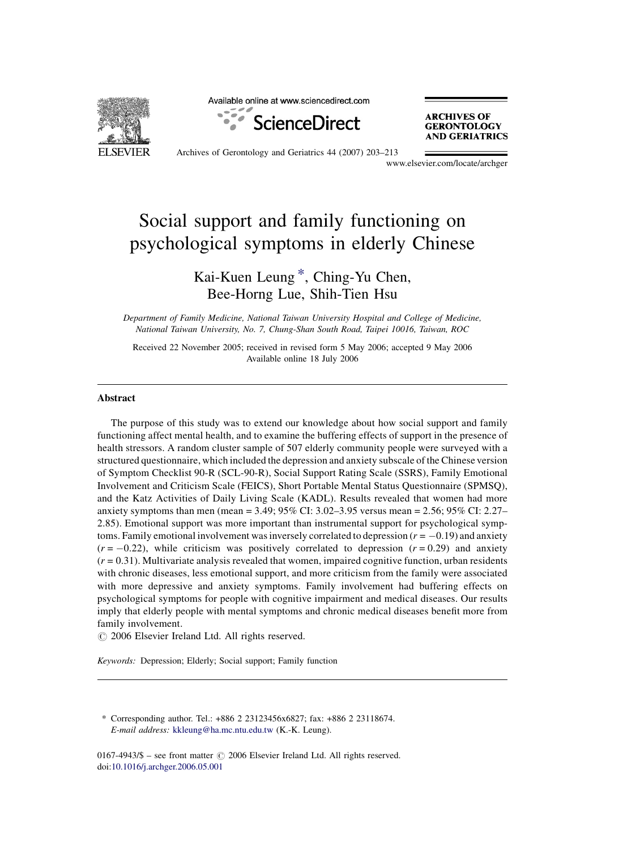

Available online at www.sciencedirect.com



**ARCHIVES OF GERONTOLOGY AND GERIATRICS** 

Archives of Gerontology and Geriatrics 44 (2007) 203–213

www.elsevier.com/locate/archger

# Social support and family functioning on psychological symptoms in elderly Chinese

Kai-Kuen Leung \*, Ching-Yu Chen, Bee-Horng Lue, Shih-Tien Hsu

Department of Family Medicine, National Taiwan University Hospital and College of Medicine, National Taiwan University, No. 7, Chung-Shan South Road, Taipei 10016, Taiwan, ROC

Received 22 November 2005; received in revised form 5 May 2006; accepted 9 May 2006 Available online 18 July 2006

#### Abstract

The purpose of this study was to extend our knowledge about how social support and family functioning affect mental health, and to examine the buffering effects of support in the presence of health stressors. A random cluster sample of 507 elderly community people were surveyed with a structured questionnaire, which included the depression and anxiety subscale of the Chinese version of Symptom Checklist 90-R (SCL-90-R), Social Support Rating Scale (SSRS), Family Emotional Involvement and Criticism Scale (FEICS), Short Portable Mental Status Questionnaire (SPMSQ), and the Katz Activities of Daily Living Scale (KADL). Results revealed that women had more anxiety symptoms than men (mean = 3.49; 95% CI: 3.02–3.95 versus mean = 2.56; 95% CI: 2.27– 2.85). Emotional support was more important than instrumental support for psychological symptoms. Family emotional involvement was inversely correlated to depression  $(r = -0.19)$  and anxiety  $(r = -0.22)$ , while criticism was positively correlated to depression  $(r = 0.29)$  and anxiety  $(r = 0.31)$ . Multivariate analysis revealed that women, impaired cognitive function, urban residents with chronic diseases, less emotional support, and more criticism from the family were associated with more depressive and anxiety symptoms. Family involvement had buffering effects on psychological symptoms for people with cognitive impairment and medical diseases. Our results imply that elderly people with mental symptoms and chronic medical diseases benefit more from family involvement.

 $\odot$  2006 Elsevier Ireland Ltd. All rights reserved.

Keywords: Depression; Elderly; Social support; Family function

\* Corresponding author. Tel.: +886 2 23123456x6827; fax: +886 2 23118674. E-mail address: [kkleung@ha.mc.ntu.edu.tw](mailto:kkleung@ha.mc.ntu.edu.tw) (K.-K. Leung).

0167-4943/\$ – see front matter  $\odot$  2006 Elsevier Ireland Ltd. All rights reserved. doi[:10.1016/j.archger.2006.05.001](http://dx.doi.org/10.1016/j.archger.2006.05.001)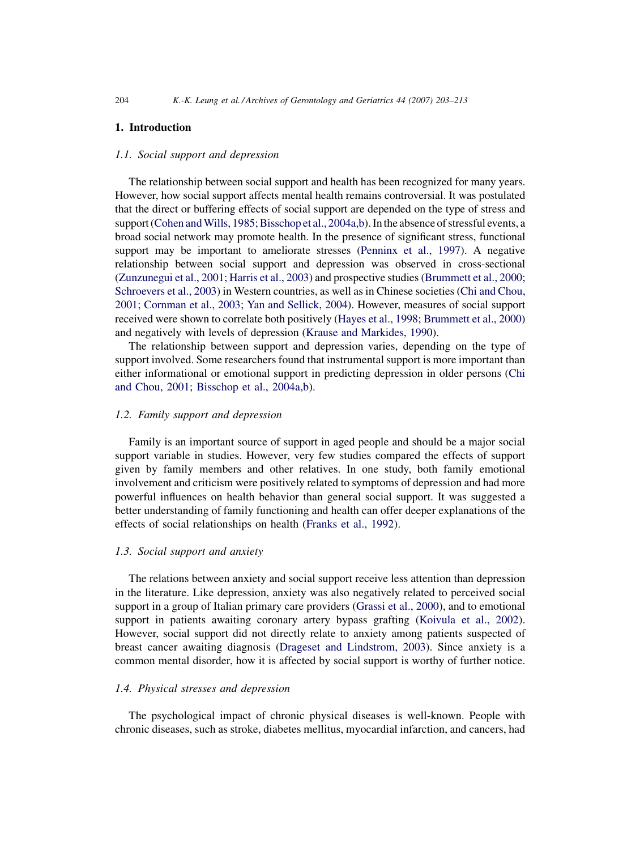# 1. Introduction

# 1.1. Social support and depression

The relationship between social support and health has been recognized for many years. However, how social support affects mental health remains controversial. It was postulated that the direct or buffering effects of social support are depended on the type of stress and support [\(Cohen and Wills, 1985; Bisschop et al., 2004a,b\)](#page-9-0). In the absence of stressful events, a broad social network may promote health. In the presence of significant stress, functional support may be important to ameliorate stresses [\(Penninx et al., 1997\)](#page-10-0). A negative relationship between social support and depression was observed in cross-sectional ([Zunzunegui et al., 2001; Harris et al., 2003](#page-10-0)) and prospective studies [\(Brummett et al., 2000;](#page-9-0) [Schroevers et al., 2003](#page-9-0)) in Western countries, as well as in Chinese societies ([Chi and Chou,](#page-9-0) [2001; Cornman et al., 2003; Yan and Sellick, 2004\)](#page-9-0). However, measures of social support received were shown to correlate both positively [\(Hayes et al., 1998; Brummett et al., 2000\)](#page-10-0) and negatively with levels of depression [\(Krause and Markides, 1990](#page-10-0)).

The relationship between support and depression varies, depending on the type of support involved. Some researchers found that instrumental support is more important than either informational or emotional support in predicting depression in older persons ([Chi](#page-9-0) [and Chou, 2001; Bisschop et al., 2004a,b\)](#page-9-0).

## 1.2. Family support and depression

Family is an important source of support in aged people and should be a major social support variable in studies. However, very few studies compared the effects of support given by family members and other relatives. In one study, both family emotional involvement and criticism were positively related to symptoms of depression and had more powerful influences on health behavior than general social support. It was suggested a better understanding of family functioning and health can offer deeper explanations of the effects of social relationships on health ([Franks et al., 1992](#page-9-0)).

# 1.3. Social support and anxiety

The relations between anxiety and social support receive less attention than depression in the literature. Like depression, anxiety was also negatively related to perceived social support in a group of Italian primary care providers [\(Grassi et al., 2000\)](#page-10-0), and to emotional support in patients awaiting coronary artery bypass grafting ([Koivula et al., 2002](#page-10-0)). However, social support did not directly relate to anxiety among patients suspected of breast cancer awaiting diagnosis [\(Drageset and Lindstrom, 2003](#page-9-0)). Since anxiety is a common mental disorder, how it is affected by social support is worthy of further notice.

## 1.4. Physical stresses and depression

The psychological impact of chronic physical diseases is well-known. People with chronic diseases, such as stroke, diabetes mellitus, myocardial infarction, and cancers, had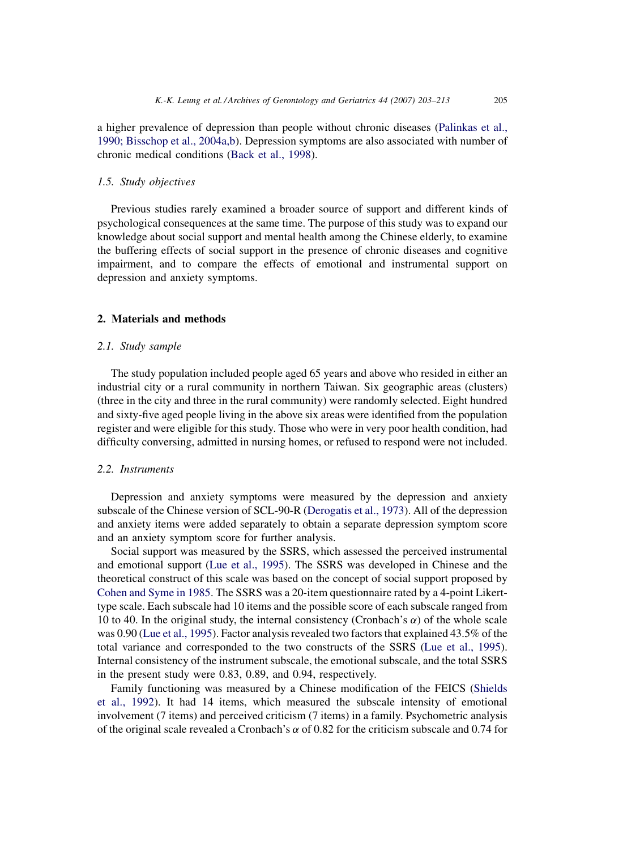a higher prevalence of depression than people without chronic diseases ([Palinkas et al.,](#page-10-0) [1990; Bisschop et al., 2004a,b\)](#page-10-0). Depression symptoms are also associated with number of chronic medical conditions ([Back et al., 1998\)](#page-9-0).

### 1.5. Study objectives

Previous studies rarely examined a broader source of support and different kinds of psychological consequences at the same time. The purpose of this study was to expand our knowledge about social support and mental health among the Chinese elderly, to examine the buffering effects of social support in the presence of chronic diseases and cognitive impairment, and to compare the effects of emotional and instrumental support on depression and anxiety symptoms.

# 2. Materials and methods

#### 2.1. Study sample

The study population included people aged 65 years and above who resided in either an industrial city or a rural community in northern Taiwan. Six geographic areas (clusters) (three in the city and three in the rural community) were randomly selected. Eight hundred and sixty-five aged people living in the above six areas were identified from the population register and were eligible for this study. Those who were in very poor health condition, had difficulty conversing, admitted in nursing homes, or refused to respond were not included.

#### 2.2. Instruments

Depression and anxiety symptoms were measured by the depression and anxiety subscale of the Chinese version of SCL-90-R ([Derogatis et al., 1973](#page-9-0)). All of the depression and anxiety items were added separately to obtain a separate depression symptom score and an anxiety symptom score for further analysis.

Social support was measured by the SSRS, which assessed the perceived instrumental and emotional support [\(Lue et al., 1995\)](#page-10-0). The SSRS was developed in Chinese and the theoretical construct of this scale was based on the concept of social support proposed by [Cohen and Syme in 1985](#page-9-0). The SSRS was a 20-item questionnaire rated by a 4-point Likerttype scale. Each subscale had 10 items and the possible score of each subscale ranged from 10 to 40. In the original study, the internal consistency (Cronbach's  $\alpha$ ) of the whole scale was 0.90 ([Lue et al., 1995\)](#page-10-0). Factor analysis revealed two factors that explained 43.5% of the total variance and corresponded to the two constructs of the SSRS ([Lue et al., 1995\)](#page-10-0). Internal consistency of the instrument subscale, the emotional subscale, and the total SSRS in the present study were 0.83, 0.89, and 0.94, respectively.

Family functioning was measured by a Chinese modification of the FEICS [\(Shields](#page-10-0) [et al., 1992\)](#page-10-0). It had 14 items, which measured the subscale intensity of emotional involvement (7 items) and perceived criticism (7 items) in a family. Psychometric analysis of the original scale revealed a Cronbach's  $\alpha$  of 0.82 for the criticism subscale and 0.74 for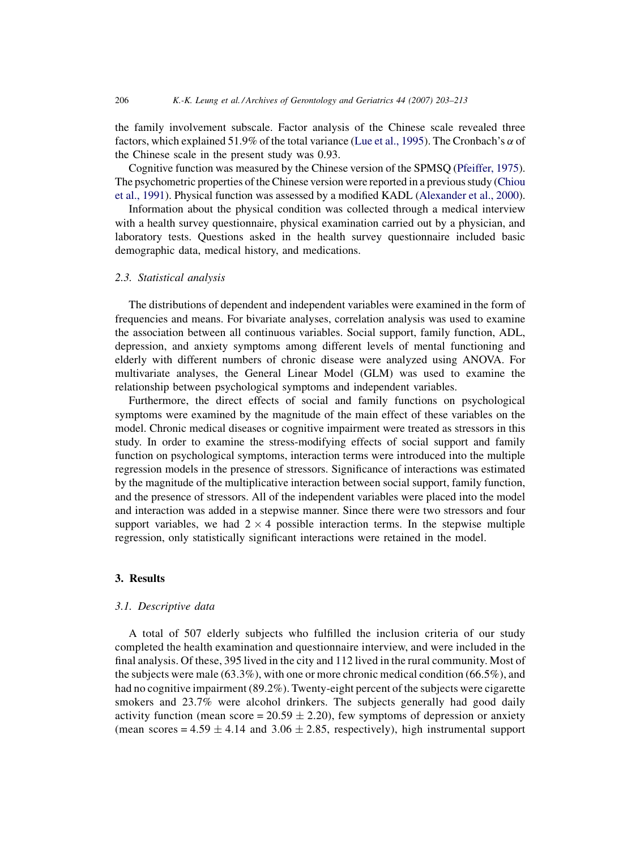the family involvement subscale. Factor analysis of the Chinese scale revealed three factors, which explained 51.9% of the total variance [\(Lue et al., 1995\)](#page-10-0). The Cronbach's  $\alpha$  of the Chinese scale in the present study was 0.93.

Cognitive function was measured by the Chinese version of the SPMSQ ([Pfeiffer, 1975\)](#page-10-0). The psychometric properties of the Chinese version were reported in a previous study [\(Chiou](#page-9-0) [et al., 1991](#page-9-0)). Physical function was assessed by a modified KADL [\(Alexander et al., 2000\)](#page-9-0).

Information about the physical condition was collected through a medical interview with a health survey questionnaire, physical examination carried out by a physician, and laboratory tests. Questions asked in the health survey questionnaire included basic demographic data, medical history, and medications.

#### 2.3. Statistical analysis

The distributions of dependent and independent variables were examined in the form of frequencies and means. For bivariate analyses, correlation analysis was used to examine the association between all continuous variables. Social support, family function, ADL, depression, and anxiety symptoms among different levels of mental functioning and elderly with different numbers of chronic disease were analyzed using ANOVA. For multivariate analyses, the General Linear Model (GLM) was used to examine the relationship between psychological symptoms and independent variables.

Furthermore, the direct effects of social and family functions on psychological symptoms were examined by the magnitude of the main effect of these variables on the model. Chronic medical diseases or cognitive impairment were treated as stressors in this study. In order to examine the stress-modifying effects of social support and family function on psychological symptoms, interaction terms were introduced into the multiple regression models in the presence of stressors. Significance of interactions was estimated by the magnitude of the multiplicative interaction between social support, family function, and the presence of stressors. All of the independent variables were placed into the model and interaction was added in a stepwise manner. Since there were two stressors and four support variables, we had  $2 \times 4$  possible interaction terms. In the stepwise multiple regression, only statistically significant interactions were retained in the model.

#### 3. Results

# 3.1. Descriptive data

A total of 507 elderly subjects who fulfilled the inclusion criteria of our study completed the health examination and questionnaire interview, and were included in the final analysis. Of these, 395 lived in the city and 112 lived in the rural community. Most of the subjects were male  $(63.3\%)$ , with one or more chronic medical condition  $(66.5\%)$ , and had no cognitive impairment (89.2%). Twenty-eight percent of the subjects were cigarette smokers and 23.7% were alcohol drinkers. The subjects generally had good daily activity function (mean score =  $20.59 \pm 2.20$ ), few symptoms of depression or anxiety (mean scores =  $4.59 \pm 4.14$  and  $3.06 \pm 2.85$ , respectively), high instrumental support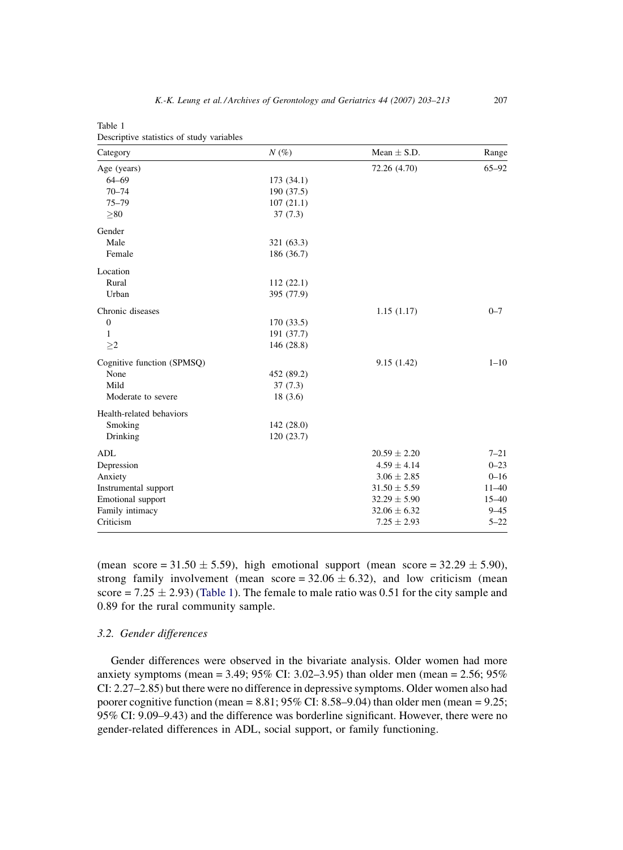| Descriptive statistics of statismy variables |            |                  |           |
|----------------------------------------------|------------|------------------|-----------|
| Category                                     | $N(\%)$    | Mean $\pm$ S.D.  | Range     |
| Age (years)                                  |            | 72.26 (4.70)     | $65 - 92$ |
| $64 - 69$                                    | 173 (34.1) |                  |           |
| $70 - 74$                                    | 190 (37.5) |                  |           |
| $75 - 79$                                    | 107(21.1)  |                  |           |
| > 80                                         | 37(7.3)    |                  |           |
| Gender                                       |            |                  |           |
| Male                                         | 321 (63.3) |                  |           |
| Female                                       | 186 (36.7) |                  |           |
| Location                                     |            |                  |           |
| Rural                                        | 112(22.1)  |                  |           |
| Urban                                        | 395 (77.9) |                  |           |
| Chronic diseases                             |            | 1.15(1.17)       | $0 - 7$   |
| $\mathbf{0}$                                 | 170(33.5)  |                  |           |
| 1                                            | 191 (37.7) |                  |           |
| >2                                           | 146 (28.8) |                  |           |
| Cognitive function (SPMSQ)                   |            | 9.15(1.42)       | $1 - 10$  |
| None                                         | 452 (89.2) |                  |           |
| Mild                                         | 37(7.3)    |                  |           |
| Moderate to severe                           | 18 (3.6)   |                  |           |
| Health-related behaviors                     |            |                  |           |
| Smoking                                      | 142(28.0)  |                  |           |
| Drinking                                     | 120(23.7)  |                  |           |
| ADL                                          |            | $20.59 \pm 2.20$ | $7 - 21$  |
| Depression                                   |            | $4.59 \pm 4.14$  | $0 - 23$  |
| Anxiety                                      |            | $3.06 \pm 2.85$  | $0 - 16$  |
| Instrumental support                         |            | $31.50 \pm 5.59$ | $11 - 40$ |
| Emotional support                            |            | $32.29 \pm 5.90$ | $15 - 40$ |
| Family intimacy                              |            | $32.06 \pm 6.32$ | $9 - 45$  |
| Criticism                                    |            | $7.25 \pm 2.93$  | $5 - 22$  |

Table 1 Descriptive statistics of study variables

(mean score  $= 31.50 \pm 5.59$ ), high emotional support (mean score  $= 32.29 \pm 5.90$ ), strong family involvement (mean score =  $32.06 \pm 6.32$ ), and low criticism (mean score =  $7.25 \pm 2.93$ ) (Table 1). The female to male ratio was 0.51 for the city sample and 0.89 for the rural community sample.

#### 3.2. Gender differences

Gender differences were observed in the bivariate analysis. Older women had more anxiety symptoms (mean = 3.49; 95% CI: 3.02–3.95) than older men (mean = 2.56; 95% CI: 2.27–2.85) but there were no difference in depressive symptoms. Older women also had poorer cognitive function (mean =  $8.81$ ;  $95\%$  CI:  $8.58-9.04$ ) than older men (mean =  $9.25$ ; 95% CI: 9.09–9.43) and the difference was borderline significant. However, there were no gender-related differences in ADL, social support, or family functioning.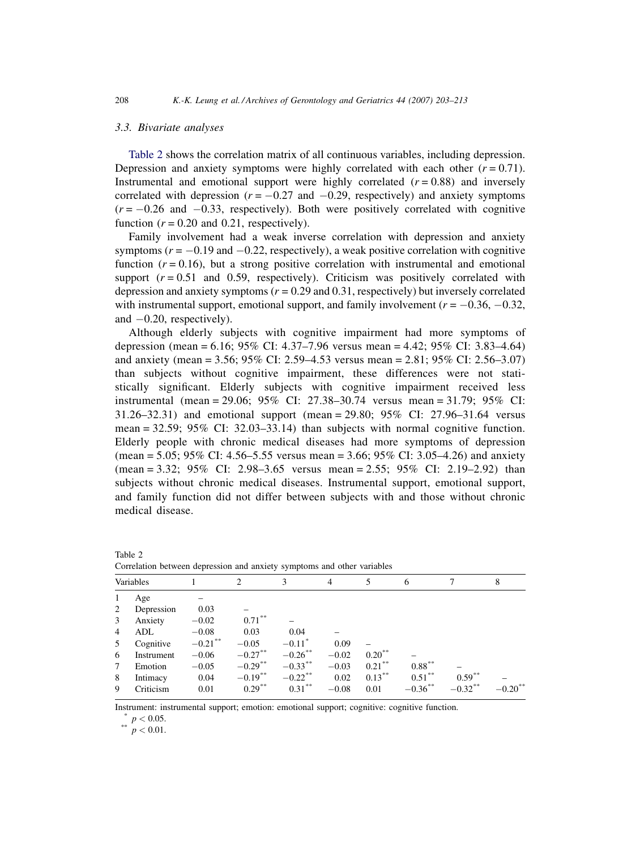#### 3.3. Bivariate analyses

Table 2 shows the correlation matrix of all continuous variables, including depression. Depression and anxiety symptoms were highly correlated with each other  $(r = 0.71)$ . Instrumental and emotional support were highly correlated  $(r = 0.88)$  and inversely correlated with depression ( $r = -0.27$  and  $-0.29$ , respectively) and anxiety symptoms  $(r = -0.26$  and  $-0.33$ , respectively). Both were positively correlated with cognitive function  $(r = 0.20$  and 0.21, respectively).

Family involvement had a weak inverse correlation with depression and anxiety symptoms ( $r = -0.19$  and  $-0.22$ , respectively), a weak positive correlation with cognitive function  $(r = 0.16)$ , but a strong positive correlation with instrumental and emotional support  $(r = 0.51$  and 0.59, respectively). Criticism was positively correlated with depression and anxiety symptoms  $(r = 0.29$  and  $0.31$ , respectively) but inversely correlated with instrumental support, emotional support, and family involvement ( $r = -0.36, -0.32,$ and -0.20, respectively).

Although elderly subjects with cognitive impairment had more symptoms of depression (mean = 6.16; 95% CI: 4.37–7.96 versus mean = 4.42; 95% CI: 3.83–4.64) and anxiety (mean = 3.56; 95% CI: 2.59–4.53 versus mean = 2.81; 95% CI: 2.56–3.07) than subjects without cognitive impairment, these differences were not statistically significant. Elderly subjects with cognitive impairment received less instrumental (mean = 29.06; 95% CI: 27.38–30.74 versus mean = 31.79; 95% CI: 31.26–32.31) and emotional support (mean = 29.80; 95% CI: 27.96–31.64 versus mean = 32.59; 95% CI: 32.03–33.14) than subjects with normal cognitive function. Elderly people with chronic medical diseases had more symptoms of depression (mean = 5.05; 95% CI: 4.56–5.55 versus mean = 3.66; 95% CI: 3.05–4.26) and anxiety (mean = 3.32; 95% CI: 2.98–3.65 versus mean = 2.55; 95% CI: 2.19–2.92) than subjects without chronic medical diseases. Instrumental support, emotional support, and family function did not differ between subjects with and those without chronic medical disease.

| correlation between approach and antitely symptoms and other variables |            |         |                                      |                                                     |           |           |                                      |                         |
|------------------------------------------------------------------------|------------|---------|--------------------------------------|-----------------------------------------------------|-----------|-----------|--------------------------------------|-------------------------|
| Variables                                                              |            | 2       |                                      | 4                                                   | 5         | 6         |                                      | 8                       |
| Age                                                                    |            |         |                                      |                                                     |           |           |                                      |                         |
| Depression                                                             | 0.03       |         |                                      |                                                     |           |           |                                      |                         |
| Anxiety                                                                | $-0.02$    |         |                                      |                                                     |           |           |                                      |                         |
| ADL                                                                    | $-0.08$    | 0.03    | 0.04                                 |                                                     |           |           |                                      |                         |
| Cognitive                                                              | $-0.21$ ** | $-0.05$ | $-0.11$ <sup>*</sup>                 | 0.09                                                |           |           |                                      |                         |
| Instrument                                                             | $-0.06$    |         | $-0.26$ **                           | $-0.02$                                             | $0.20***$ |           |                                      |                         |
| Emotion                                                                | $-0.05$    |         | $-0.33***$                           | $-0.03$                                             | $0.21***$ |           |                                      |                         |
| Intimacy                                                               | 0.04       |         |                                      | 0.02                                                |           |           |                                      |                         |
| Criticism                                                              | 0.01       |         |                                      | $-0.08$                                             | 0.01      |           |                                      | $-0.20***$              |
|                                                                        |            |         | $0.71***$<br>$-0.19***$<br>$0.29***$ | $-0.27$ **<br>$-0.29$ **<br>$-0.22$ **<br>$0.31***$ |           | $0.13***$ | $0.88***$<br>$0.51***$<br>$-0.36***$ | $0.59***$<br>$-0.32***$ |

| Table 2                                                                 |  |  |  |  |
|-------------------------------------------------------------------------|--|--|--|--|
| Correlation between depression and anxiety symptoms and other variables |  |  |  |  |

Instrument: instrumental support; emotion: emotional support; cognitive: cognitive function. \*  $p < 0.05$ . \*\*  $p < 0.01$ .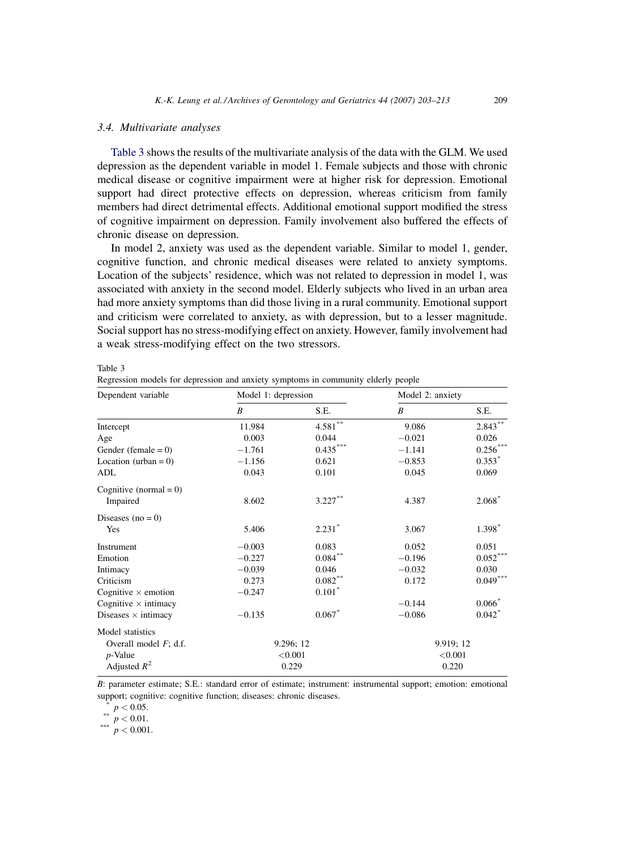## 3.4. Multivariate analyses

Table 3 shows the results of the multivariate analysis of the data with the GLM. We used depression as the dependent variable in model 1. Female subjects and those with chronic medical disease or cognitive impairment were at higher risk for depression. Emotional support had direct protective effects on depression, whereas criticism from family members had direct detrimental effects. Additional emotional support modified the stress of cognitive impairment on depression. Family involvement also buffered the effects of chronic disease on depression.

In model 2, anxiety was used as the dependent variable. Similar to model 1, gender, cognitive function, and chronic medical diseases were related to anxiety symptoms. Location of the subjects' residence, which was not related to depression in model 1, was associated with anxiety in the second model. Elderly subjects who lived in an urban area had more anxiety symptoms than did those living in a rural community. Emotional support and criticism were correlated to anxiety, as with depression, but to a lesser magnitude. Social support has no stress-modifying effect on anxiety. However, family involvement had a weak stress-modifying effect on the two stressors.

| Dependent variable          | Model 1: depression |                        | Model 2: anxiety |                      |  |
|-----------------------------|---------------------|------------------------|------------------|----------------------|--|
|                             | $\boldsymbol{B}$    | S.E.                   | B                | S.E.                 |  |
| Intercept                   | 11.984              | $4.581***$             | 9.086            | $2.843***$           |  |
| Age                         | 0.003               | 0.044                  | $-0.021$         | 0.026                |  |
| Gender (female $= 0$ )      | $-1.761$            | $0.435***$             | $-1.141$         | $0.256***$           |  |
| Location (urban = $0$ )     | $-1.156$            | 0.621                  | $-0.853$         | $0.353*$             |  |
| <b>ADL</b>                  | 0.043               | 0.101                  | 0.045            | 0.069                |  |
| Cognitive (normal = $0$ )   |                     |                        |                  |                      |  |
| Impaired                    | 8.602               | $3.227***$             | 4.387            | $2.068*$             |  |
| Diseases $(no = 0)$         |                     |                        |                  |                      |  |
| Yes                         | 5.406               | $2.231*$               | 3.067            | 1.398*               |  |
| Instrument                  | $-0.003$            | 0.083                  | 0.052            | 0.051                |  |
| Emotion                     | $-0.227$            | $0.084\sp{**}$         | $-0.196$         | $0.052***$           |  |
| Intimacy                    | $-0.039$            | 0.046                  | $-0.032$         | 0.030                |  |
| Criticism                   | 0.273               | $0.082\overset{**}{ }$ | 0.172            | $0.049***$           |  |
| Cognitive $\times$ emotion  | $-0.247$            | $0.101*$               |                  |                      |  |
| Cognitive $\times$ intimacy |                     |                        | $-0.144$         | $0.066*$             |  |
| Diseases $\times$ intimacy  | $-0.135$            | 0.067                  | $-0.086$         | $0.042$ <sup>*</sup> |  |
| Model statistics            |                     |                        |                  |                      |  |
| Overall model $F$ ; d.f.    | 9.296; 12           |                        | 9.919; 12        |                      |  |
| $p$ -Value                  |                     | < 0.001                | < 0.001          |                      |  |
| Adjusted $R^2$              |                     | 0.229                  | 0.220            |                      |  |

Table 3

Regression models for depression and anxiety symptoms in community elderly people

B: parameter estimate; S.E.: standard error of estimate; instrument: instrumental support; emotion: emotional support; cognitive: cognitive function; diseases: chronic diseases. \*  $p < 0.05$ .<br>\*\*\*  $p < 0.01$ .<br>\*\*\*  $p < 0.001$ .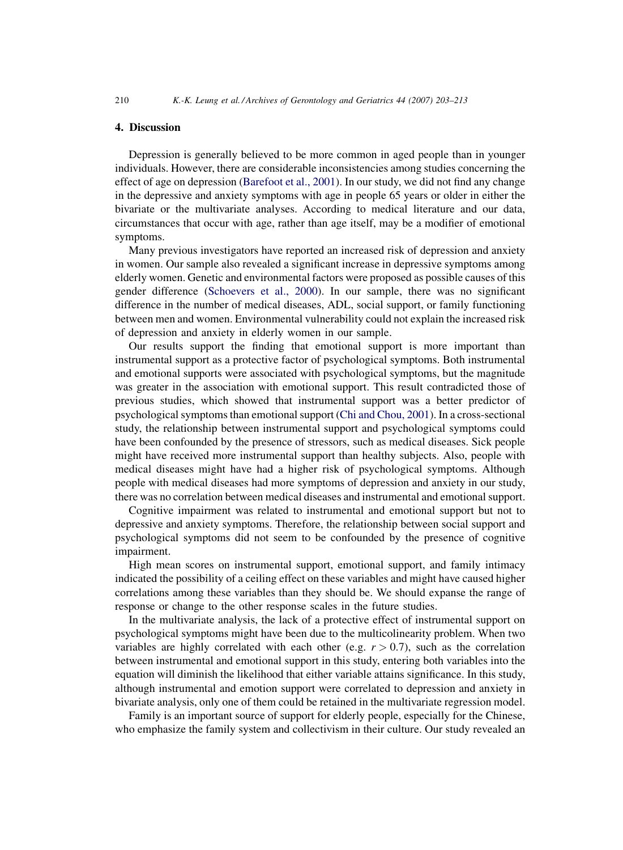## 4. Discussion

Depression is generally believed to be more common in aged people than in younger individuals. However, there are considerable inconsistencies among studies concerning the effect of age on depression [\(Barefoot et al., 2001](#page-9-0)). In our study, we did not find any change in the depressive and anxiety symptoms with age in people 65 years or older in either the bivariate or the multivariate analyses. According to medical literature and our data, circumstances that occur with age, rather than age itself, may be a modifier of emotional symptoms.

Many previous investigators have reported an increased risk of depression and anxiety in women. Our sample also revealed a significant increase in depressive symptoms among elderly women. Genetic and environmental factors were proposed as possible causes of this gender difference ([Schoevers et al., 2000\)](#page-10-0). In our sample, there was no significant difference in the number of medical diseases, ADL, social support, or family functioning between men and women. Environmental vulnerability could not explain the increased risk of depression and anxiety in elderly women in our sample.

Our results support the finding that emotional support is more important than instrumental support as a protective factor of psychological symptoms. Both instrumental and emotional supports were associated with psychological symptoms, but the magnitude was greater in the association with emotional support. This result contradicted those of previous studies, which showed that instrumental support was a better predictor of psychological symptoms than emotional support [\(Chi and Chou, 2001\)](#page-9-0). In a cross-sectional study, the relationship between instrumental support and psychological symptoms could have been confounded by the presence of stressors, such as medical diseases. Sick people might have received more instrumental support than healthy subjects. Also, people with medical diseases might have had a higher risk of psychological symptoms. Although people with medical diseases had more symptoms of depression and anxiety in our study, there was no correlation between medical diseases and instrumental and emotional support.

Cognitive impairment was related to instrumental and emotional support but not to depressive and anxiety symptoms. Therefore, the relationship between social support and psychological symptoms did not seem to be confounded by the presence of cognitive impairment.

High mean scores on instrumental support, emotional support, and family intimacy indicated the possibility of a ceiling effect on these variables and might have caused higher correlations among these variables than they should be. We should expanse the range of response or change to the other response scales in the future studies.

In the multivariate analysis, the lack of a protective effect of instrumental support on psychological symptoms might have been due to the multicolinearity problem. When two variables are highly correlated with each other (e.g.  $r > 0.7$ ), such as the correlation between instrumental and emotional support in this study, entering both variables into the equation will diminish the likelihood that either variable attains significance. In this study, although instrumental and emotion support were correlated to depression and anxiety in bivariate analysis, only one of them could be retained in the multivariate regression model.

Family is an important source of support for elderly people, especially for the Chinese, who emphasize the family system and collectivism in their culture. Our study revealed an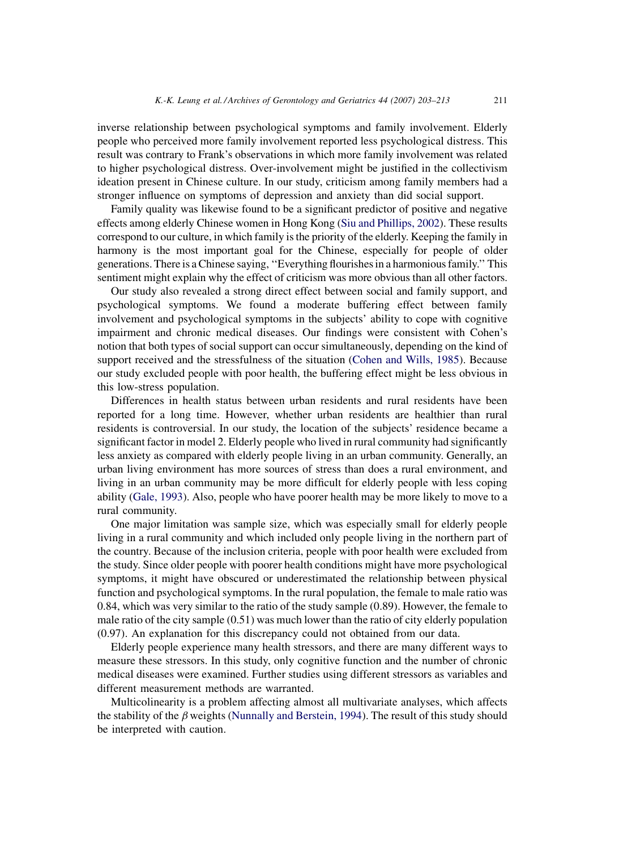inverse relationship between psychological symptoms and family involvement. Elderly people who perceived more family involvement reported less psychological distress. This result was contrary to Frank's observations in which more family involvement was related to higher psychological distress. Over-involvement might be justified in the collectivism ideation present in Chinese culture. In our study, criticism among family members had a stronger influence on symptoms of depression and anxiety than did social support.

Family quality was likewise found to be a significant predictor of positive and negative effects among elderly Chinese women in Hong Kong [\(Siu and Phillips, 2002](#page-10-0)). These results correspond to our culture, in which family is the priority of the elderly. Keeping the family in harmony is the most important goal for the Chinese, especially for people of older generations. There is a Chinese saying, ''Everything flourishes in a harmonious family.'' This sentiment might explain why the effect of criticism was more obvious than all other factors.

Our study also revealed a strong direct effect between social and family support, and psychological symptoms. We found a moderate buffering effect between family involvement and psychological symptoms in the subjects' ability to cope with cognitive impairment and chronic medical diseases. Our findings were consistent with Cohen's notion that both types of social support can occur simultaneously, depending on the kind of support received and the stressfulness of the situation [\(Cohen and Wills, 1985](#page-9-0)). Because our study excluded people with poor health, the buffering effect might be less obvious in this low-stress population.

Differences in health status between urban residents and rural residents have been reported for a long time. However, whether urban residents are healthier than rural residents is controversial. In our study, the location of the subjects' residence became a significant factor in model 2. Elderly people who lived in rural community had significantly less anxiety as compared with elderly people living in an urban community. Generally, an urban living environment has more sources of stress than does a rural environment, and living in an urban community may be more difficult for elderly people with less coping ability [\(Gale, 1993\)](#page-9-0). Also, people who have poorer health may be more likely to move to a rural community.

One major limitation was sample size, which was especially small for elderly people living in a rural community and which included only people living in the northern part of the country. Because of the inclusion criteria, people with poor health were excluded from the study. Since older people with poorer health conditions might have more psychological symptoms, it might have obscured or underestimated the relationship between physical function and psychological symptoms. In the rural population, the female to male ratio was 0.84, which was very similar to the ratio of the study sample (0.89). However, the female to male ratio of the city sample (0.51) was much lower than the ratio of city elderly population (0.97). An explanation for this discrepancy could not obtained from our data.

Elderly people experience many health stressors, and there are many different ways to measure these stressors. In this study, only cognitive function and the number of chronic medical diseases were examined. Further studies using different stressors as variables and different measurement methods are warranted.

Multicolinearity is a problem affecting almost all multivariate analyses, which affects the stability of the  $\beta$  weights ([Nunnally and Berstein, 1994](#page-10-0)). The result of this study should be interpreted with caution.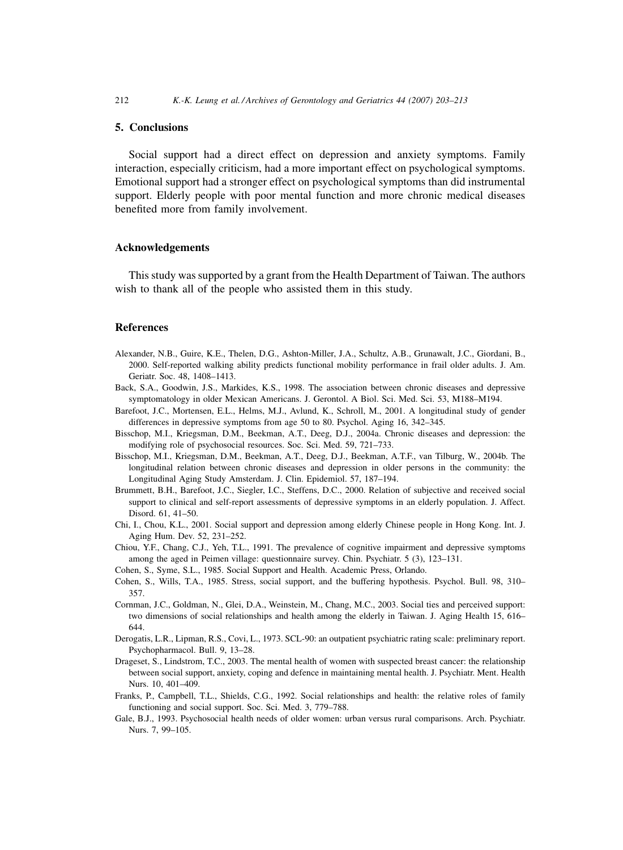## <span id="page-9-0"></span>5. Conclusions

Social support had a direct effect on depression and anxiety symptoms. Family interaction, especially criticism, had a more important effect on psychological symptoms. Emotional support had a stronger effect on psychological symptoms than did instrumental support. Elderly people with poor mental function and more chronic medical diseases benefited more from family involvement.

#### Acknowledgements

This study was supported by a grant from the Health Department of Taiwan. The authors wish to thank all of the people who assisted them in this study.

## References

- Alexander, N.B., Guire, K.E., Thelen, D.G., Ashton-Miller, J.A., Schultz, A.B., Grunawalt, J.C., Giordani, B., 2000. Self-reported walking ability predicts functional mobility performance in frail older adults. J. Am. Geriatr. Soc. 48, 1408–1413.
- Back, S.A., Goodwin, J.S., Markides, K.S., 1998. The association between chronic diseases and depressive symptomatology in older Mexican Americans. J. Gerontol. A Biol. Sci. Med. Sci. 53, M188–M194.
- Barefoot, J.C., Mortensen, E.L., Helms, M.J., Avlund, K., Schroll, M., 2001. A longitudinal study of gender differences in depressive symptoms from age 50 to 80. Psychol. Aging 16, 342–345.
- Bisschop, M.I., Kriegsman, D.M., Beekman, A.T., Deeg, D.J., 2004a. Chronic diseases and depression: the modifying role of psychosocial resources. Soc. Sci. Med. 59, 721–733.
- Bisschop, M.I., Kriegsman, D.M., Beekman, A.T., Deeg, D.J., Beekman, A.T.F., van Tilburg, W., 2004b. The longitudinal relation between chronic diseases and depression in older persons in the community: the Longitudinal Aging Study Amsterdam. J. Clin. Epidemiol. 57, 187–194.
- Brummett, B.H., Barefoot, J.C., Siegler, I.C., Steffens, D.C., 2000. Relation of subjective and received social support to clinical and self-report assessments of depressive symptoms in an elderly population. J. Affect. Disord. 61, 41–50.
- Chi, I., Chou, K.L., 2001. Social support and depression among elderly Chinese people in Hong Kong. Int. J. Aging Hum. Dev. 52, 231–252.
- Chiou, Y.F., Chang, C.J., Yeh, T.L., 1991. The prevalence of cognitive impairment and depressive symptoms among the aged in Peimen village: questionnaire survey. Chin. Psychiatr. 5 (3), 123–131.
- Cohen, S., Syme, S.L., 1985. Social Support and Health. Academic Press, Orlando.
- Cohen, S., Wills, T.A., 1985. Stress, social support, and the buffering hypothesis. Psychol. Bull. 98, 310– 357.
- Cornman, J.C., Goldman, N., Glei, D.A., Weinstein, M., Chang, M.C., 2003. Social ties and perceived support: two dimensions of social relationships and health among the elderly in Taiwan. J. Aging Health 15, 616– 644.
- Derogatis, L.R., Lipman, R.S., Covi, L., 1973. SCL-90: an outpatient psychiatric rating scale: preliminary report. Psychopharmacol. Bull. 9, 13–28.
- Drageset, S., Lindstrom, T.C., 2003. The mental health of women with suspected breast cancer: the relationship between social support, anxiety, coping and defence in maintaining mental health. J. Psychiatr. Ment. Health Nurs. 10, 401–409.
- Franks, P., Campbell, T.L., Shields, C.G., 1992. Social relationships and health: the relative roles of family functioning and social support. Soc. Sci. Med. 3, 779–788.
- Gale, B.J., 1993. Psychosocial health needs of older women: urban versus rural comparisons. Arch. Psychiatr. Nurs. 7, 99–105.